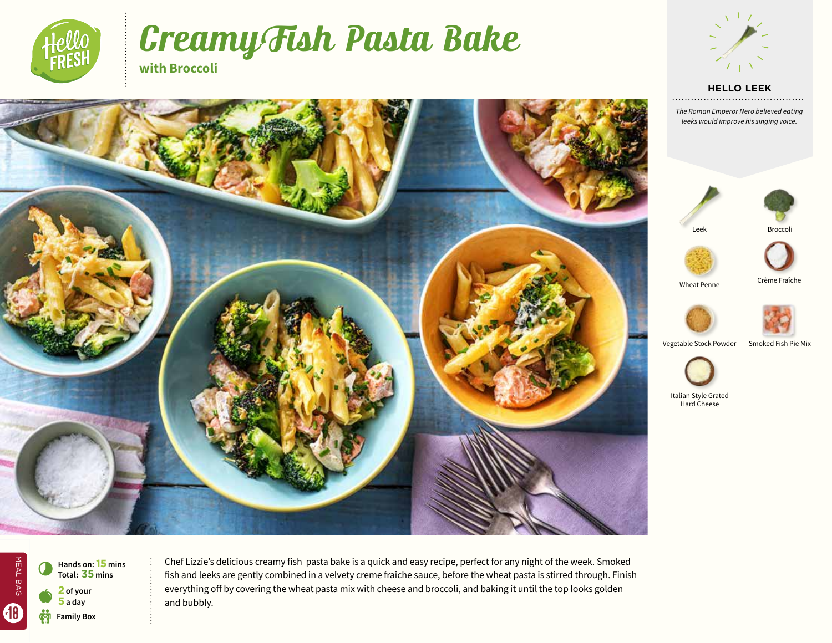

# Creamy Fish Pasta Bake **with Broccoli**



#### **HELLO LEEK**

*The Roman Emperor Nero believed eating leeks would improve his singing voice.*













Wheat Penne

Crème Fraîche





Vegetable Stock Powder Smoked Fish Pie Mix



Italian Style Grated Hard Cheese



MEAL BAG MEAL BAG  $\bullet$ 18



Chef Lizzie's delicious creamy fish pasta bake is a quick and easy recipe, perfect for any night of the week. Smoked fish and leeks are gently combined in a velvety creme fraiche sauce, before the wheat pasta is stirred through. Finish everything off by covering the wheat pasta mix with cheese and broccoli, and baking it until the top looks golden and bubbly.